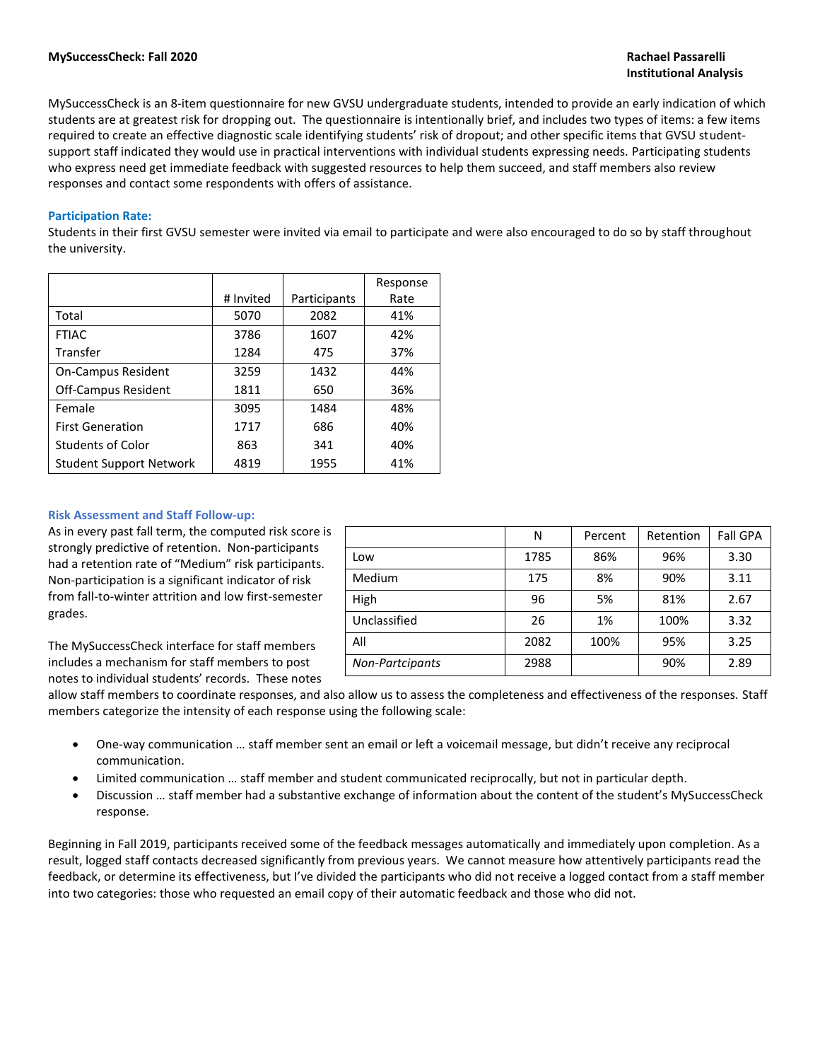MySuccessCheck is an 8-item questionnaire for new GVSU undergraduate students, intended to provide an early indication of which students are at greatest risk for dropping out. The questionnaire is intentionally brief, and includes two types of items: a few items required to create an effective diagnostic scale identifying students' risk of dropout; and other specific items that GVSU studentsupport staff indicated they would use in practical interventions with individual students expressing needs. Participating students who express need get immediate feedback with suggested resources to help them succeed, and staff members also review responses and contact some respondents with offers of assistance.

### **Participation Rate:**

Students in their first GVSU semester were invited via email to participate and were also encouraged to do so by staff throughout the university.

|                                |           |              | Response |
|--------------------------------|-----------|--------------|----------|
|                                | # Invited | Participants | Rate     |
| Total                          | 5070      | 2082         | 41%      |
| <b>FTIAC</b>                   | 3786      | 1607         | 42%      |
| Transfer                       | 1284      | 475          | 37%      |
| <b>On-Campus Resident</b>      | 3259      | 1432         | 44%      |
| <b>Off-Campus Resident</b>     | 1811      | 650          | 36%      |
| Female                         | 3095      | 1484         | 48%      |
| <b>First Generation</b>        | 1717      | 686          | 40%      |
| <b>Students of Color</b>       | 863       | 341          | 40%      |
| <b>Student Support Network</b> | 4819      | 1955         | 41%      |

#### **Risk Assessment and Staff Follow-up:**

As in every past fall term, the computed risk score is strongly predictive of retention. Non-participants had a retention rate of "Medium" risk participants. Non-participation is a significant indicator of risk from fall-to-winter attrition and low first-semester grades.

The MySuccessCheck interface for staff members includes a mechanism for staff members to post notes to individual students' records. These notes

|                 | N    | Percent | Retention | <b>Fall GPA</b> |
|-----------------|------|---------|-----------|-----------------|
| Low             | 1785 | 86%     | 96%       | 3.30            |
| Medium          | 175  | 8%      | 90%       | 3.11            |
| High            | 96   | 5%      | 81%       | 2.67            |
| Unclassified    | 26   | 1%      | 100%      | 3.32            |
| All             | 2082 | 100%    | 95%       | 3.25            |
| Non-Partcipants | 2988 |         | 90%       | 2.89            |

allow staff members to coordinate responses, and also allow us to assess the completeness and effectiveness of the responses. Staff members categorize the intensity of each response using the following scale:

- One-way communication … staff member sent an email or left a voicemail message, but didn't receive any reciprocal communication.
- Limited communication … staff member and student communicated reciprocally, but not in particular depth.
- Discussion … staff member had a substantive exchange of information about the content of the student's MySuccessCheck response.

Beginning in Fall 2019, participants received some of the feedback messages automatically and immediately upon completion. As a result, logged staff contacts decreased significantly from previous years. We cannot measure how attentively participants read the feedback, or determine its effectiveness, but I've divided the participants who did not receive a logged contact from a staff member into two categories: those who requested an email copy of their automatic feedback and those who did not.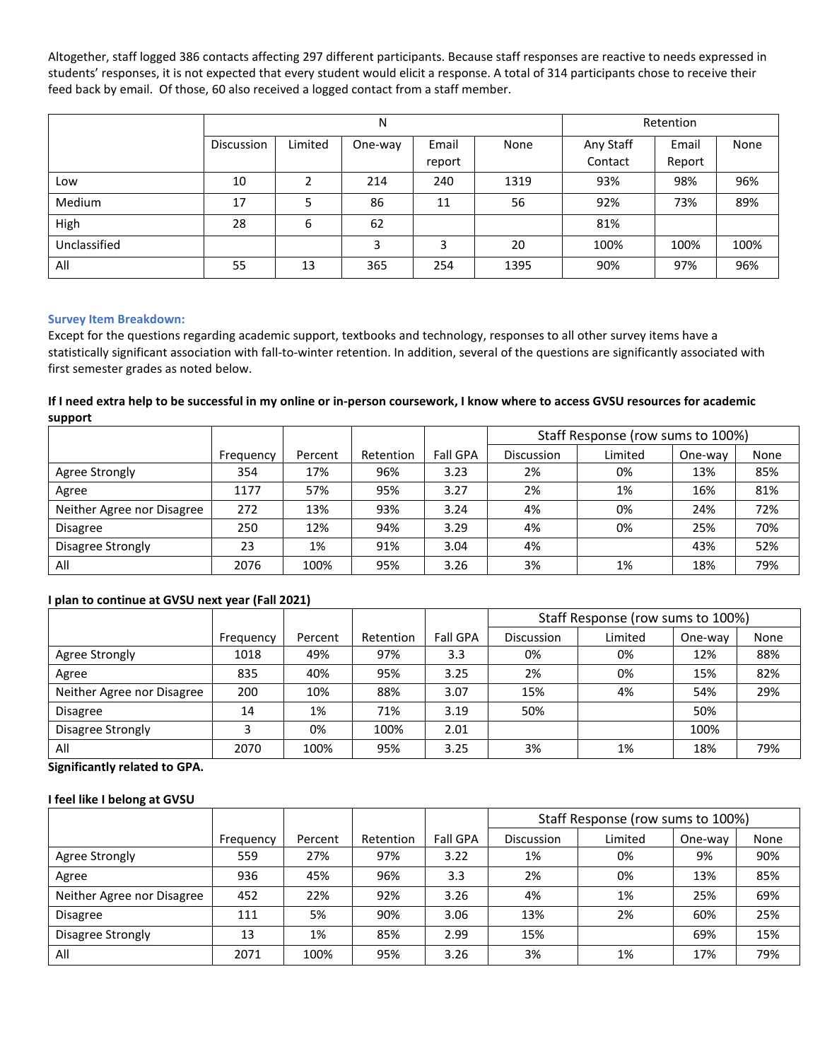Altogether, staff logged 386 contacts affecting 297 different participants. Because staff responses are reactive to needs expressed in students' responses, it is not expected that every student would elicit a response. A total of 314 participants chose to receive their feed back by email. Of those, 60 also received a logged contact from a staff member.

|              |            |         | N       | Retention       |      |                      |                 |      |
|--------------|------------|---------|---------|-----------------|------|----------------------|-----------------|------|
|              | Discussion | Limited | One-way | Email<br>report | None | Any Staff<br>Contact | Email<br>Report | None |
| Low          | 10         | 2       | 214     | 240             | 1319 | 93%                  | 98%             | 96%  |
| Medium       | 17         | 5       | 86      | 11              | 56   | 92%                  | 73%             | 89%  |
| High         | 28         | 6       | 62      |                 |      | 81%                  |                 |      |
| Unclassified |            |         | 3       | 3               | 20   | 100%                 | 100%            | 100% |
| All          | 55         | 13      | 365     | 254             | 1395 | 90%                  | 97%             | 96%  |

## **Survey Item Breakdown:**

Except for the questions regarding academic support, textbooks and technology, responses to all other survey items have a statistically significant association with fall-to-winter retention. In addition, several of the questions are significantly associated with first semester grades as noted below.

## **If I need extra help to be successful in my online or in-person coursework, I know where to access GVSU resources for academic support**

|                            |           |         |           |                 |                   | Staff Response (row sums to 100%) |         |      |
|----------------------------|-----------|---------|-----------|-----------------|-------------------|-----------------------------------|---------|------|
|                            | Frequency | Percent | Retention | <b>Fall GPA</b> | <b>Discussion</b> | Limited                           | One-way | None |
| Agree Strongly             | 354       | 17%     | 96%       | 3.23            | 2%                | 0%                                | 13%     | 85%  |
| Agree                      | 1177      | 57%     | 95%       | 3.27            | 2%                | 1%                                | 16%     | 81%  |
| Neither Agree nor Disagree | 272       | 13%     | 93%       | 3.24            | 4%                | 0%                                | 24%     | 72%  |
| <b>Disagree</b>            | 250       | 12%     | 94%       | 3.29            | 4%                | 0%                                | 25%     | 70%  |
| Disagree Strongly          | 23        | 1%      | 91%       | 3.04            | 4%                |                                   | 43%     | 52%  |
| All                        | 2076      | 100%    | 95%       | 3.26            | 3%                | 1%                                | 18%     | 79%  |

## **I plan to continue at GVSU next year (Fall 2021)**

|                            |           |         |           |                 |                   | Staff Response (row sums to 100%) |         |      |
|----------------------------|-----------|---------|-----------|-----------------|-------------------|-----------------------------------|---------|------|
|                            | Frequency | Percent | Retention | <b>Fall GPA</b> | <b>Discussion</b> | Limited                           | One-way | None |
| Agree Strongly             | 1018      | 49%     | 97%       | 3.3             | 0%                | 0%                                | 12%     | 88%  |
| Agree                      | 835       | 40%     | 95%       | 3.25            | 2%                | 0%                                | 15%     | 82%  |
| Neither Agree nor Disagree | 200       | 10%     | 88%       | 3.07            | 15%               | 4%                                | 54%     | 29%  |
| <b>Disagree</b>            | 14        | 1%      | 71%       | 3.19            | 50%               |                                   | 50%     |      |
| Disagree Strongly          |           | 0%      | 100%      | 2.01            |                   |                                   | 100%    |      |
| All                        | 2070      | 100%    | 95%       | 3.25            | 3%                | 1%                                | 18%     | 79%  |

**Significantly related to GPA.**

## **I feel like I belong at GVSU**

|                            |           |         |           |                 |                   | Staff Response (row sums to 100%) |         |      |
|----------------------------|-----------|---------|-----------|-----------------|-------------------|-----------------------------------|---------|------|
|                            | Frequency | Percent | Retention | <b>Fall GPA</b> | <b>Discussion</b> | Limited                           | One-way | None |
| Agree Strongly             | 559       | 27%     | 97%       | 3.22            | 1%                | 0%                                | 9%      | 90%  |
| Agree                      | 936       | 45%     | 96%       | 3.3             | 2%                | 0%                                | 13%     | 85%  |
| Neither Agree nor Disagree | 452       | 22%     | 92%       | 3.26            | 4%                | 1%                                | 25%     | 69%  |
| <b>Disagree</b>            | 111       | 5%      | 90%       | 3.06            | 13%               | 2%                                | 60%     | 25%  |
| Disagree Strongly          | 13        | 1%      | 85%       | 2.99            | 15%               |                                   | 69%     | 15%  |
| All                        | 2071      | 100%    | 95%       | 3.26            | 3%                | 1%                                | 17%     | 79%  |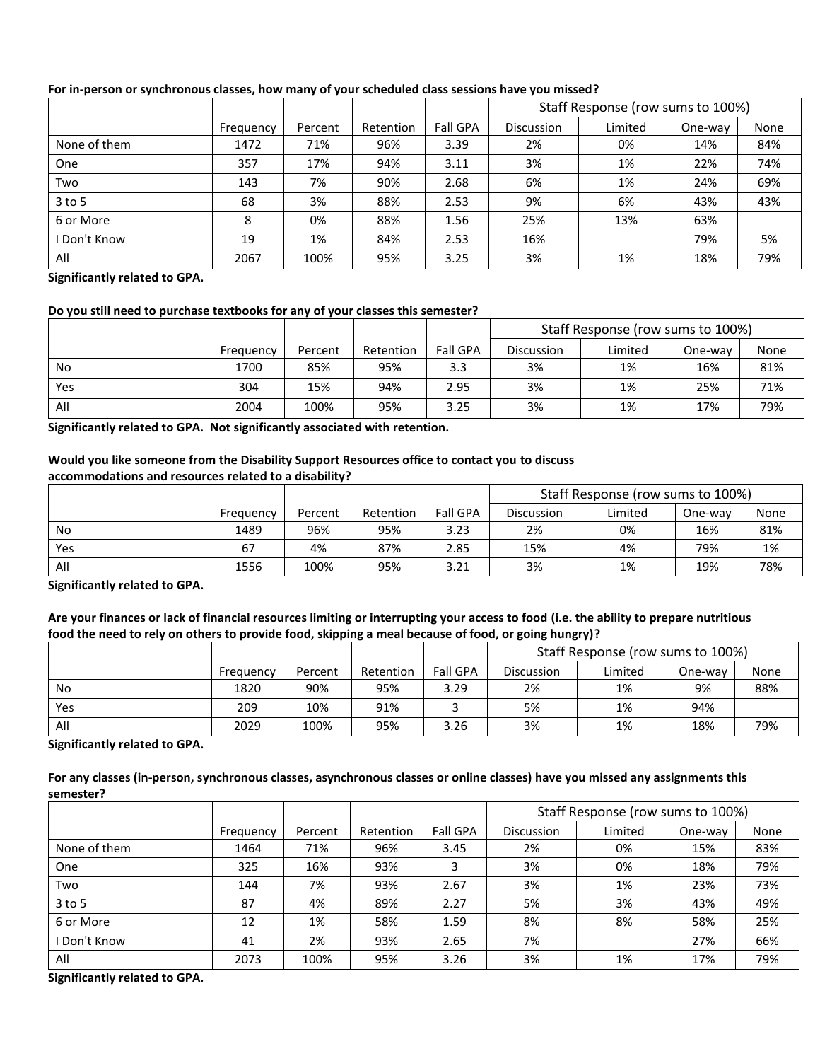|              |           |         |           |                 |                   | Staff Response (row sums to 100%) |         |      |
|--------------|-----------|---------|-----------|-----------------|-------------------|-----------------------------------|---------|------|
|              | Frequency | Percent | Retention | <b>Fall GPA</b> | <b>Discussion</b> | Limited                           | One-way | None |
| None of them | 1472      | 71%     | 96%       | 3.39            | 2%                | 0%                                | 14%     | 84%  |
| One          | 357       | 17%     | 94%       | 3.11            | 3%                | 1%                                | 22%     | 74%  |
| Two          | 143       | 7%      | 90%       | 2.68            | 6%                | 1%                                | 24%     | 69%  |
| $3$ to 5     | 68        | 3%      | 88%       | 2.53            | 9%                | 6%                                | 43%     | 43%  |
| 6 or More    | 8         | 0%      | 88%       | 1.56            | 25%               | 13%                               | 63%     |      |
| Don't Know   | 19        | 1%      | 84%       | 2.53            | 16%               |                                   | 79%     | 5%   |
| All          | 2067      | 100%    | 95%       | 3.25            | 3%                | 1%                                | 18%     | 79%  |

# **For in-person or synchronous classes, how many of your scheduled class sessions have you missed?**

**Significantly related to GPA.**

### **Do you still need to purchase textbooks for any of your classes this semester?**

|     |           |         |           |                 |            | Staff Response (row sums to 100%) |         |      |
|-----|-----------|---------|-----------|-----------------|------------|-----------------------------------|---------|------|
|     | Frequency | Percent | Retention | <b>Fall GPA</b> | Discussion | Limited                           | One-way | None |
| No  | 1700      | 85%     | 95%       | 3.3             | 3%         | 1%                                | 16%     | 81%  |
| Yes | 304       | 15%     | 94%       | 2.95            | 3%         | 1%                                | 25%     | 71%  |
| All | 2004      | 100%    | 95%       | 3.25            | 3%         | 1%                                | 17%     | 79%  |

**Significantly related to GPA. Not significantly associated with retention.**

### **Would you like someone from the Disability Support Resources office to contact you to discuss accommodations and resources related to a disability?**

|     |           |         |           |                 | Staff Response (row sums to 100%) |         |         |      |
|-----|-----------|---------|-----------|-----------------|-----------------------------------|---------|---------|------|
|     | Frequency | Percent | Retention | <b>Fall GPA</b> | <b>Discussion</b>                 | Limited | One-way | None |
| No  | 1489      | 96%     | 95%       | 3.23            | 2%                                | 0%      | 16%     | 81%  |
| Yes | 67        | 4%      | 87%       | 2.85            | 15%                               | 4%      | 79%     | 1%   |
| All | 1556      | 100%    | 95%       | 3.21            | 3%                                | 1%      | 19%     | 78%  |

**Significantly related to GPA.**

## **Are your finances or lack of financial resources limiting or interrupting your access to food (i.e. the ability to prepare nutritious food the need to rely on others to provide food, skipping a meal because of food, or going hungry)?**

|     |           |         |           |                 |            | Staff Response (row sums to 100%) |         |      |
|-----|-----------|---------|-----------|-----------------|------------|-----------------------------------|---------|------|
|     | Frequency | Percent | Retention | <b>Fall GPA</b> | Discussion | Limited                           | One-way | None |
| No  | 1820      | 90%     | 95%       | 3.29            | 2%         | 1%                                | 9%      | 88%  |
| Yes | 209       | 10%     | 91%       |                 | 5%         | 1%                                | 94%     |      |
| All | 2029      | 100%    | 95%       | 3.26            | 3%         | 1%                                | 18%     | 79%  |

**Significantly related to GPA.**

### **For any classes (in-person, synchronous classes, asynchronous classes or online classes) have you missed any assignments this semester?**

|              |           |         |           |                 |            | Staff Response (row sums to 100%) |         |      |
|--------------|-----------|---------|-----------|-----------------|------------|-----------------------------------|---------|------|
|              | Frequency | Percent | Retention | <b>Fall GPA</b> | Discussion | Limited                           | One-way | None |
| None of them | 1464      | 71%     | 96%       | 3.45            | 2%         | 0%                                | 15%     | 83%  |
| One          | 325       | 16%     | 93%       | 3               | 3%         | 0%                                | 18%     | 79%  |
| Two          | 144       | 7%      | 93%       | 2.67            | 3%         | 1%                                | 23%     | 73%  |
| $3$ to 5     | 87        | 4%      | 89%       | 2.27            | 5%         | 3%                                | 43%     | 49%  |
| 6 or More    | 12        | 1%      | 58%       | 1.59            | 8%         | 8%                                | 58%     | 25%  |
| I Don't Know | 41        | 2%      | 93%       | 2.65            | 7%         |                                   | 27%     | 66%  |
| All          | 2073      | 100%    | 95%       | 3.26            | 3%         | 1%                                | 17%     | 79%  |

**Significantly related to GPA.**